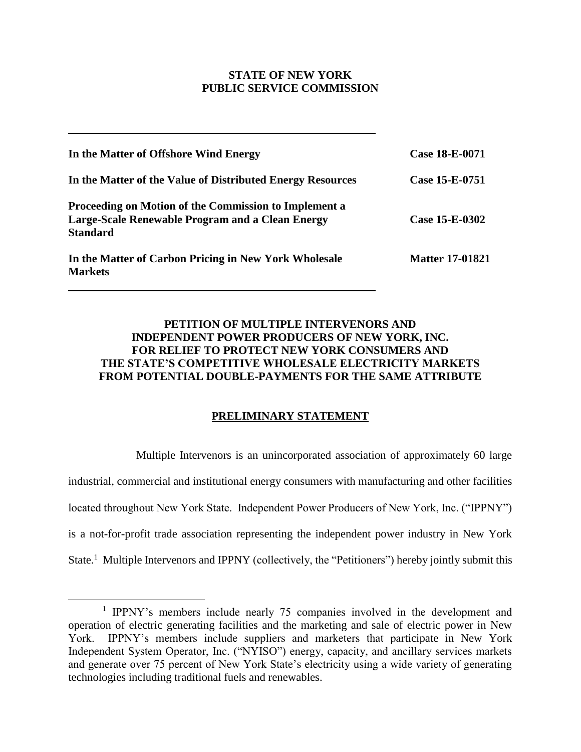## **STATE OF NEW YORK PUBLIC SERVICE COMMISSION**

| In the Matter of Offshore Wind Energy                                                                                        | Case 18-E-0071         |  |
|------------------------------------------------------------------------------------------------------------------------------|------------------------|--|
| In the Matter of the Value of Distributed Energy Resources                                                                   | Case 15-E-0751         |  |
| Proceeding on Motion of the Commission to Implement a<br>Large-Scale Renewable Program and a Clean Energy<br><b>Standard</b> | Case 15-E-0302         |  |
| In the Matter of Carbon Pricing in New York Wholesale<br><b>Markets</b>                                                      | <b>Matter 17-01821</b> |  |

# **PETITION OF MULTIPLE INTERVENORS AND INDEPENDENT POWER PRODUCERS OF NEW YORK, INC. FOR RELIEF TO PROTECT NEW YORK CONSUMERS AND THE STATE'S COMPETITIVE WHOLESALE ELECTRICITY MARKETS FROM POTENTIAL DOUBLE-PAYMENTS FOR THE SAME ATTRIBUTE**

# **PRELIMINARY STATEMENT**

Multiple Intervenors is an unincorporated association of approximately 60 large industrial, commercial and institutional energy consumers with manufacturing and other facilities located throughout New York State. Independent Power Producers of New York, Inc. ("IPPNY") is a not-for-profit trade association representing the independent power industry in New York State.<sup>1</sup> Multiple Intervenors and IPPNY (collectively, the "Petitioners") hereby jointly submit this

<sup>&</sup>lt;sup>1</sup> IPPNY's members include nearly 75 companies involved in the development and operation of electric generating facilities and the marketing and sale of electric power in New York. IPPNY's members include suppliers and marketers that participate in New York Independent System Operator, Inc. ("NYISO") energy, capacity, and ancillary services markets and generate over 75 percent of New York State's electricity using a wide variety of generating technologies including traditional fuels and renewables.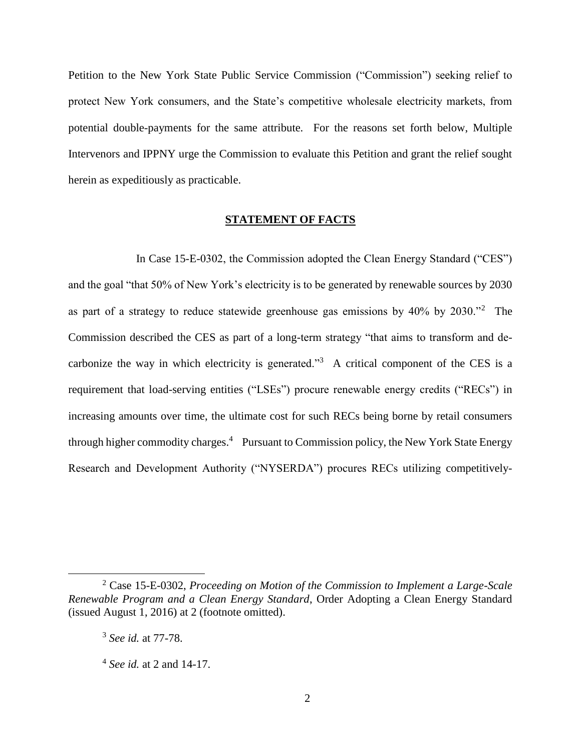Petition to the New York State Public Service Commission ("Commission") seeking relief to protect New York consumers, and the State's competitive wholesale electricity markets, from potential double-payments for the same attribute. For the reasons set forth below, Multiple Intervenors and IPPNY urge the Commission to evaluate this Petition and grant the relief sought herein as expeditiously as practicable.

### **STATEMENT OF FACTS**

In Case 15-E-0302, the Commission adopted the Clean Energy Standard ("CES") and the goal "that 50% of New York's electricity is to be generated by renewable sources by 2030 as part of a strategy to reduce statewide greenhouse gas emissions by  $40\%$  by  $2030.^{2}$ . The Commission described the CES as part of a long-term strategy "that aims to transform and decarbonize the way in which electricity is generated."<sup>3</sup> A critical component of the CES is a requirement that load-serving entities ("LSEs") procure renewable energy credits ("RECs") in increasing amounts over time, the ultimate cost for such RECs being borne by retail consumers through higher commodity charges.<sup>4</sup> Pursuant to Commission policy, the New York State Energy Research and Development Authority ("NYSERDA") procures RECs utilizing competitively-

<sup>2</sup> Case 15-E-0302, *Proceeding on Motion of the Commission to Implement a Large-Scale Renewable Program and a Clean Energy Standard*, Order Adopting a Clean Energy Standard (issued August 1, 2016) at 2 (footnote omitted).

<sup>3</sup> *See id.* at 77-78.

<sup>4</sup> *See id.* at 2 and 14-17.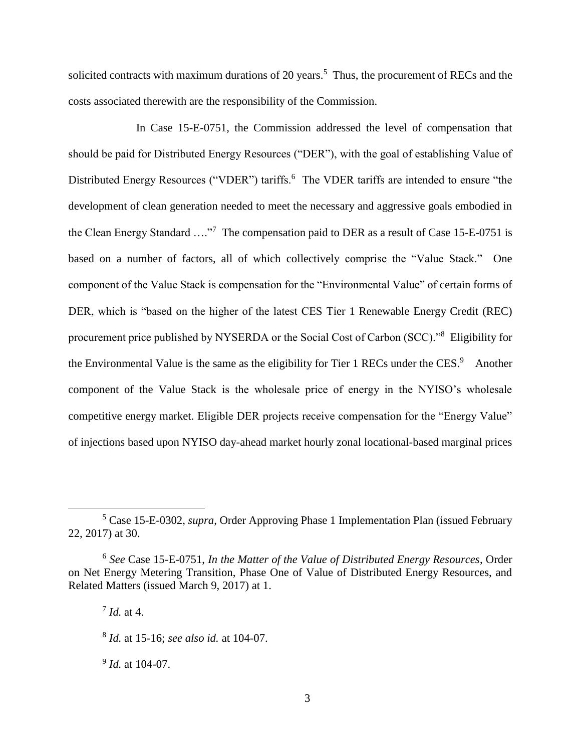solicited contracts with maximum durations of 20 years.<sup>5</sup> Thus, the procurement of RECs and the costs associated therewith are the responsibility of the Commission.

In Case 15-E-0751, the Commission addressed the level of compensation that should be paid for Distributed Energy Resources ("DER"), with the goal of establishing Value of Distributed Energy Resources ("VDER") tariffs.<sup>6</sup> The VDER tariffs are intended to ensure "the development of clean generation needed to meet the necessary and aggressive goals embodied in the Clean Energy Standard ...."<sup>7</sup> The compensation paid to DER as a result of Case 15-E-0751 is based on a number of factors, all of which collectively comprise the "Value Stack." One component of the Value Stack is compensation for the "Environmental Value" of certain forms of DER, which is "based on the higher of the latest CES Tier 1 Renewable Energy Credit (REC) procurement price published by NYSERDA or the Social Cost of Carbon (SCC)."<sup>8</sup> Eligibility for the Environmental Value is the same as the eligibility for Tier 1 RECs under the CES. $9$  Another component of the Value Stack is the wholesale price of energy in the NYISO's wholesale competitive energy market. Eligible DER projects receive compensation for the "Energy Value" of injections based upon NYISO day-ahead market hourly zonal locational-based marginal prices

7 *Id.* at 4.

 $\overline{a}$ 

9 *Id.* at 104-07.

<sup>5</sup> Case 15-E-0302, *supra*, Order Approving Phase 1 Implementation Plan (issued February 22, 2017) at 30.

<sup>6</sup> *See* Case 15-E-0751, *In the Matter of the Value of Distributed Energy Resources*, Order on Net Energy Metering Transition, Phase One of Value of Distributed Energy Resources, and Related Matters (issued March 9, 2017) at 1.

<sup>8</sup> *Id.* at 15-16; *see also id.* at 104-07.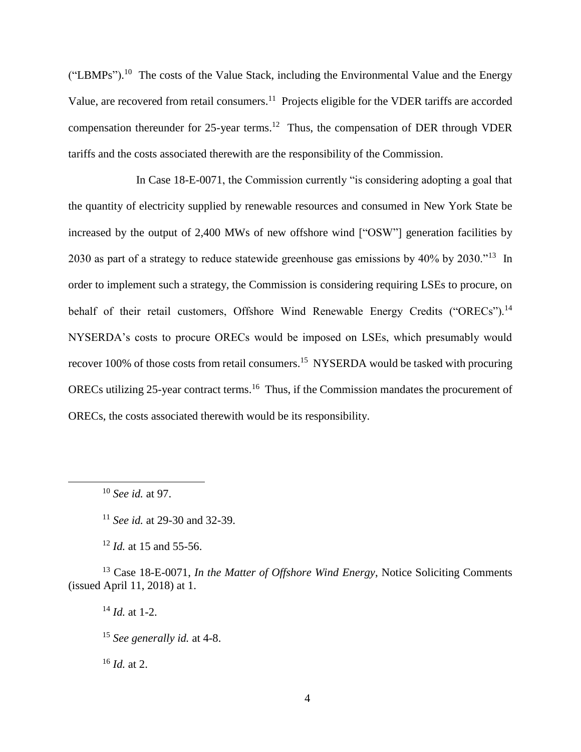$("LBMPs")$ .<sup>10</sup> The costs of the Value Stack, including the Environmental Value and the Energy Value, are recovered from retail consumers.<sup>11</sup> Projects eligible for the VDER tariffs are accorded compensation thereunder for  $25$ -year terms.<sup>12</sup> Thus, the compensation of DER through VDER tariffs and the costs associated therewith are the responsibility of the Commission.

In Case 18-E-0071, the Commission currently "is considering adopting a goal that the quantity of electricity supplied by renewable resources and consumed in New York State be increased by the output of 2,400 MWs of new offshore wind ["OSW"] generation facilities by 2030 as part of a strategy to reduce statewide greenhouse gas emissions by 40% by 2030."<sup>13</sup> In order to implement such a strategy, the Commission is considering requiring LSEs to procure, on behalf of their retail customers, Offshore Wind Renewable Energy Credits ("ORECs").<sup>14</sup> NYSERDA's costs to procure ORECs would be imposed on LSEs, which presumably would recover 100% of those costs from retail consumers.<sup>15</sup> NYSERDA would be tasked with procuring ORECs utilizing 25-year contract terms.<sup>16</sup> Thus, if the Commission mandates the procurement of ORECs, the costs associated therewith would be its responsibility.

 $\overline{a}$ 

<sup>12</sup> *Id.* at 15 and 55-56.

<sup>13</sup> Case 18-E-0071, *In the Matter of Offshore Wind Energy*, Notice Soliciting Comments (issued April 11, 2018) at 1.

<sup>14</sup> *Id.* at 1-2.

<sup>15</sup> *See generally id.* at 4-8.

<sup>16</sup> *Id.* at 2.

<sup>10</sup> *See id.* at 97.

<sup>11</sup> *See id.* at 29-30 and 32-39.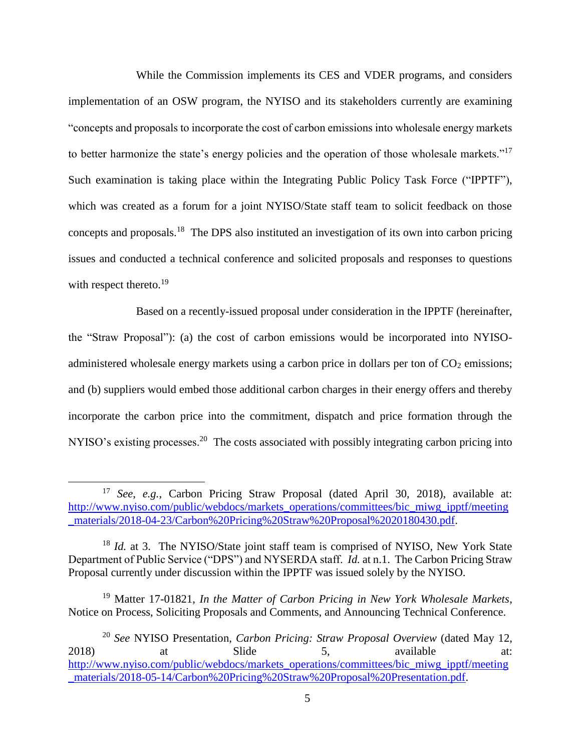While the Commission implements its CES and VDER programs, and considers implementation of an OSW program, the NYISO and its stakeholders currently are examining "concepts and proposals to incorporate the cost of carbon emissions into wholesale energy markets to better harmonize the state's energy policies and the operation of those wholesale markets."<sup>17</sup> Such examination is taking place within the Integrating Public Policy Task Force ("IPPTF"), which was created as a forum for a joint NYISO/State staff team to solicit feedback on those concepts and proposals.<sup>18</sup> The DPS also instituted an investigation of its own into carbon pricing issues and conducted a technical conference and solicited proposals and responses to questions with respect thereto.<sup>19</sup>

Based on a recently-issued proposal under consideration in the IPPTF (hereinafter, the "Straw Proposal"): (a) the cost of carbon emissions would be incorporated into NYISOadministered wholesale energy markets using a carbon price in dollars per ton of  $CO<sub>2</sub>$  emissions; and (b) suppliers would embed those additional carbon charges in their energy offers and thereby incorporate the carbon price into the commitment, dispatch and price formation through the NYISO's existing processes.<sup>20</sup> The costs associated with possibly integrating carbon pricing into

<sup>17</sup> *See*, *e.g.*, Carbon Pricing Straw Proposal (dated April 30, 2018), available at: [http://www.nyiso.com/public/webdocs/markets\\_operations/committees/bic\\_miwg\\_ipptf/meeting](http://www.nyiso.com/public/webdocs/markets_operations/committees/bic_miwg_ipptf/meeting_materials/2018-04-23/Carbon%20Pricing%20Straw%20Proposal%2020180430.pdf) [\\_materials/2018-04-23/Carbon%20Pricing%20Straw%20Proposal%2020180430.pdf.](http://www.nyiso.com/public/webdocs/markets_operations/committees/bic_miwg_ipptf/meeting_materials/2018-04-23/Carbon%20Pricing%20Straw%20Proposal%2020180430.pdf)

<sup>&</sup>lt;sup>18</sup> *Id.* at 3. The NYISO/State joint staff team is comprised of NYISO, New York State Department of Public Service ("DPS") and NYSERDA staff. *Id.* at n.1. The Carbon Pricing Straw Proposal currently under discussion within the IPPTF was issued solely by the NYISO.

<sup>19</sup> Matter 17-01821, *In the Matter of Carbon Pricing in New York Wholesale Markets*, Notice on Process, Soliciting Proposals and Comments, and Announcing Technical Conference.

<sup>20</sup> *See* NYISO Presentation, *Carbon Pricing: Straw Proposal Overview* (dated May 12, 2018) at Slide 5, available at: [http://www.nyiso.com/public/webdocs/markets\\_operations/committees/bic\\_miwg\\_ipptf/meeting](http://www.nyiso.com/public/webdocs/markets_operations/committees/bic_miwg_ipptf/meeting_materials/2018-05-14/Carbon%20Pricing%20Straw%20Proposal%20Presentation.pdf) [\\_materials/2018-05-14/Carbon%20Pricing%20Straw%20Proposal%20Presentation.pdf.](http://www.nyiso.com/public/webdocs/markets_operations/committees/bic_miwg_ipptf/meeting_materials/2018-05-14/Carbon%20Pricing%20Straw%20Proposal%20Presentation.pdf)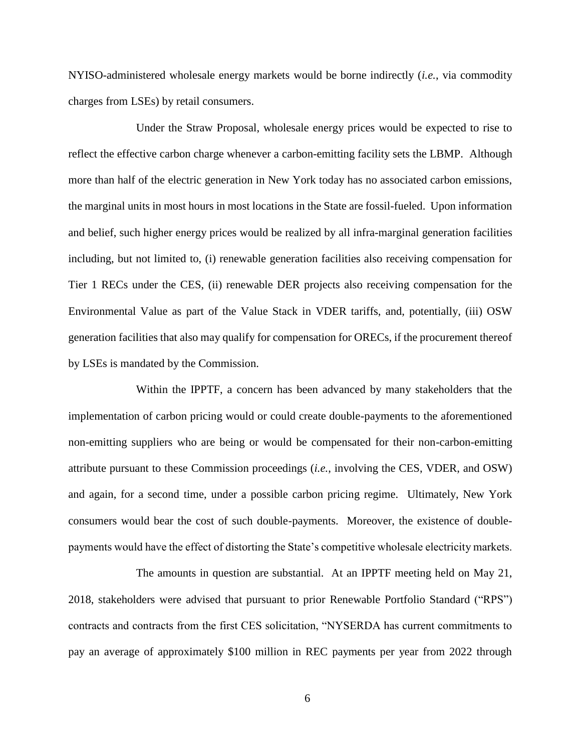NYISO-administered wholesale energy markets would be borne indirectly (*i.e.*, via commodity charges from LSEs) by retail consumers.

Under the Straw Proposal, wholesale energy prices would be expected to rise to reflect the effective carbon charge whenever a carbon-emitting facility sets the LBMP. Although more than half of the electric generation in New York today has no associated carbon emissions, the marginal units in most hours in most locations in the State are fossil-fueled. Upon information and belief, such higher energy prices would be realized by all infra-marginal generation facilities including, but not limited to, (i) renewable generation facilities also receiving compensation for Tier 1 RECs under the CES, (ii) renewable DER projects also receiving compensation for the Environmental Value as part of the Value Stack in VDER tariffs, and, potentially, (iii) OSW generation facilities that also may qualify for compensation for ORECs, if the procurement thereof by LSEs is mandated by the Commission.

Within the IPPTF, a concern has been advanced by many stakeholders that the implementation of carbon pricing would or could create double-payments to the aforementioned non-emitting suppliers who are being or would be compensated for their non-carbon-emitting attribute pursuant to these Commission proceedings (*i.e.*, involving the CES, VDER, and OSW) and again, for a second time, under a possible carbon pricing regime. Ultimately, New York consumers would bear the cost of such double-payments. Moreover, the existence of doublepayments would have the effect of distorting the State's competitive wholesale electricity markets.

The amounts in question are substantial. At an IPPTF meeting held on May 21, 2018, stakeholders were advised that pursuant to prior Renewable Portfolio Standard ("RPS") contracts and contracts from the first CES solicitation, "NYSERDA has current commitments to pay an average of approximately \$100 million in REC payments per year from 2022 through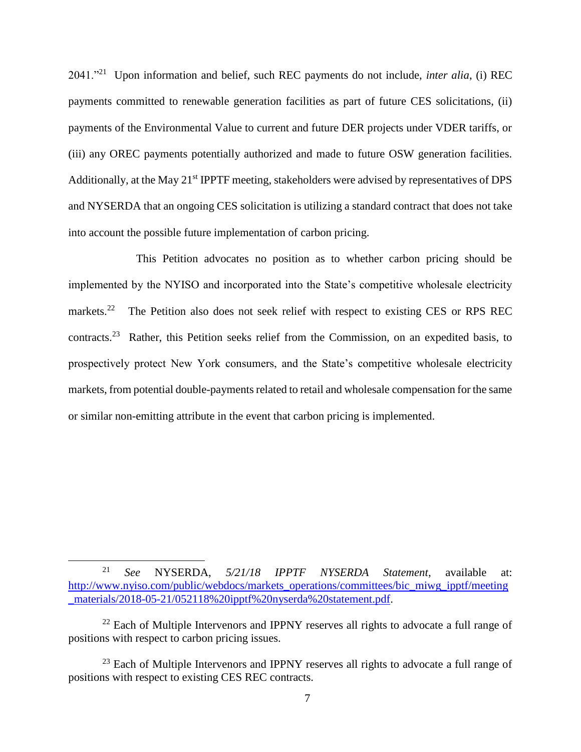2041."<sup>21</sup> Upon information and belief, such REC payments do not include, *inter alia*, (i) REC payments committed to renewable generation facilities as part of future CES solicitations, (ii) payments of the Environmental Value to current and future DER projects under VDER tariffs, or (iii) any OREC payments potentially authorized and made to future OSW generation facilities. Additionally, at the May 21st IPPTF meeting, stakeholders were advised by representatives of DPS and NYSERDA that an ongoing CES solicitation is utilizing a standard contract that does not take into account the possible future implementation of carbon pricing.

This Petition advocates no position as to whether carbon pricing should be implemented by the NYISO and incorporated into the State's competitive wholesale electricity markets.<sup>22</sup> The Petition also does not seek relief with respect to existing CES or RPS REC contracts.<sup>23</sup> Rather, this Petition seeks relief from the Commission, on an expedited basis, to prospectively protect New York consumers, and the State's competitive wholesale electricity markets, from potential double-payments related to retail and wholesale compensation for the same or similar non-emitting attribute in the event that carbon pricing is implemented.

<sup>21</sup> *See* NYSERDA, *5/21/18 IPPTF NYSERDA Statement*, available at: [http://www.nyiso.com/public/webdocs/markets\\_operations/committees/bic\\_miwg\\_ipptf/meeting](http://www.nyiso.com/public/webdocs/markets_operations/committees/bic_miwg_ipptf/meeting_materials/2018-05-21/052118%20ipptf%20nyserda%20statement.pdf) [\\_materials/2018-05-21/052118%20ipptf%20nyserda%20statement.pdf.](http://www.nyiso.com/public/webdocs/markets_operations/committees/bic_miwg_ipptf/meeting_materials/2018-05-21/052118%20ipptf%20nyserda%20statement.pdf)

 $22$  Each of Multiple Intervenors and IPPNY reserves all rights to advocate a full range of positions with respect to carbon pricing issues.

 $23$  Each of Multiple Intervenors and IPPNY reserves all rights to advocate a full range of positions with respect to existing CES REC contracts.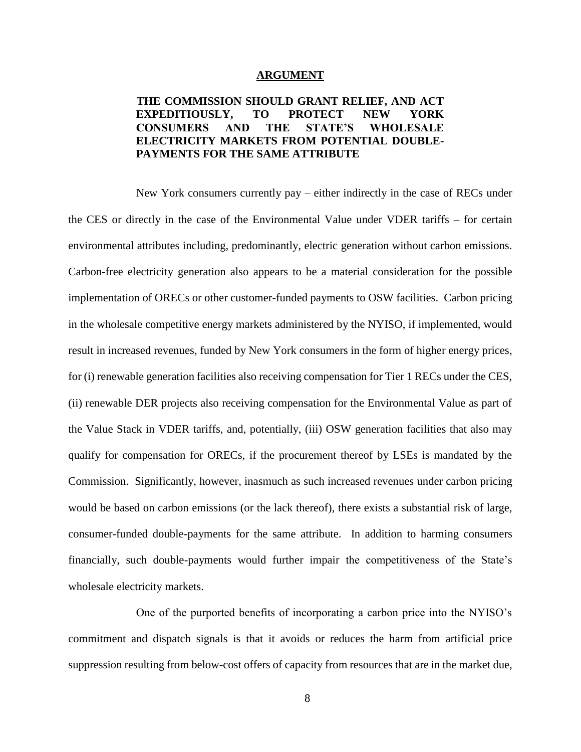#### **ARGUMENT**

# **THE COMMISSION SHOULD GRANT RELIEF, AND ACT EXPEDITIOUSLY, TO PROTECT NEW YORK CONSUMERS AND THE STATE'S WHOLESALE ELECTRICITY MARKETS FROM POTENTIAL DOUBLE-PAYMENTS FOR THE SAME ATTRIBUTE**

New York consumers currently pay – either indirectly in the case of RECs under the CES or directly in the case of the Environmental Value under VDER tariffs – for certain environmental attributes including, predominantly, electric generation without carbon emissions. Carbon-free electricity generation also appears to be a material consideration for the possible implementation of ORECs or other customer-funded payments to OSW facilities. Carbon pricing in the wholesale competitive energy markets administered by the NYISO, if implemented, would result in increased revenues, funded by New York consumers in the form of higher energy prices, for (i) renewable generation facilities also receiving compensation for Tier 1 RECs under the CES, (ii) renewable DER projects also receiving compensation for the Environmental Value as part of the Value Stack in VDER tariffs, and, potentially, (iii) OSW generation facilities that also may qualify for compensation for ORECs, if the procurement thereof by LSEs is mandated by the Commission. Significantly, however, inasmuch as such increased revenues under carbon pricing would be based on carbon emissions (or the lack thereof), there exists a substantial risk of large, consumer-funded double-payments for the same attribute. In addition to harming consumers financially, such double-payments would further impair the competitiveness of the State's wholesale electricity markets.

One of the purported benefits of incorporating a carbon price into the NYISO's commitment and dispatch signals is that it avoids or reduces the harm from artificial price suppression resulting from below-cost offers of capacity from resources that are in the market due,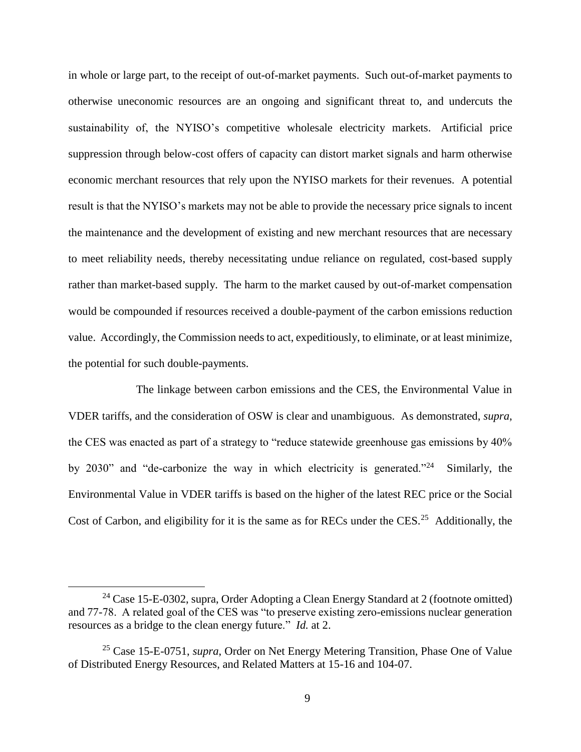in whole or large part, to the receipt of out-of-market payments. Such out-of-market payments to otherwise uneconomic resources are an ongoing and significant threat to, and undercuts the sustainability of, the NYISO's competitive wholesale electricity markets. Artificial price suppression through below-cost offers of capacity can distort market signals and harm otherwise economic merchant resources that rely upon the NYISO markets for their revenues. A potential result is that the NYISO's markets may not be able to provide the necessary price signals to incent the maintenance and the development of existing and new merchant resources that are necessary to meet reliability needs, thereby necessitating undue reliance on regulated, cost-based supply rather than market-based supply. The harm to the market caused by out-of-market compensation would be compounded if resources received a double-payment of the carbon emissions reduction value. Accordingly, the Commission needs to act, expeditiously, to eliminate, or at least minimize, the potential for such double-payments.

The linkage between carbon emissions and the CES, the Environmental Value in VDER tariffs, and the consideration of OSW is clear and unambiguous. As demonstrated, *supra*, the CES was enacted as part of a strategy to "reduce statewide greenhouse gas emissions by 40% by 2030" and "de-carbonize the way in which electricity is generated."<sup>24</sup> Similarly, the Environmental Value in VDER tariffs is based on the higher of the latest REC price or the Social Cost of Carbon, and eligibility for it is the same as for RECs under the CES.<sup>25</sup> Additionally, the

<sup>&</sup>lt;sup>24</sup> Case 15-E-0302, supra, Order Adopting a Clean Energy Standard at 2 (footnote omitted) and 77-78. A related goal of the CES was "to preserve existing zero-emissions nuclear generation resources as a bridge to the clean energy future." *Id.* at 2.

<sup>25</sup> Case 15-E-0751, *supra*, Order on Net Energy Metering Transition, Phase One of Value of Distributed Energy Resources, and Related Matters at 15-16 and 104-07.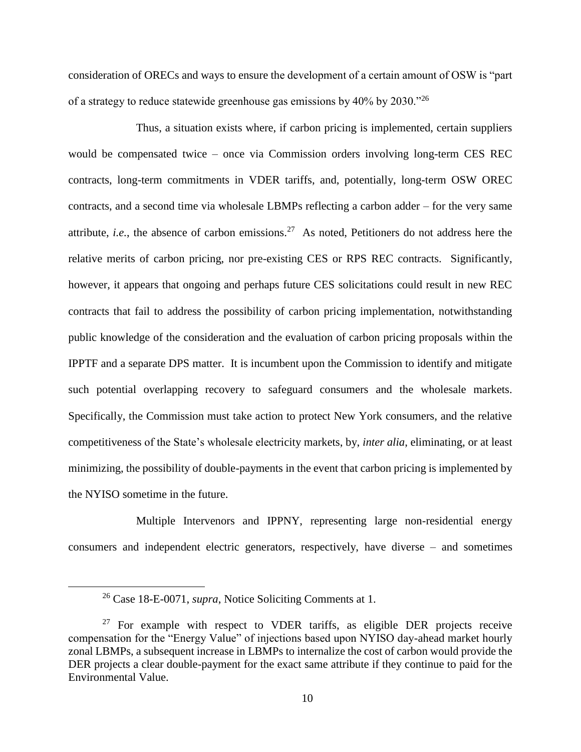consideration of ORECs and ways to ensure the development of a certain amount of OSW is "part of a strategy to reduce statewide greenhouse gas emissions by  $40\%$  by  $2030.^{0.26}$ 

Thus, a situation exists where, if carbon pricing is implemented, certain suppliers would be compensated twice – once via Commission orders involving long-term CES REC contracts, long-term commitments in VDER tariffs, and, potentially, long-term OSW OREC contracts, and a second time via wholesale LBMPs reflecting a carbon adder – for the very same attribute, *i.e.*, the absence of carbon emissions.<sup>27</sup> As noted, Petitioners do not address here the relative merits of carbon pricing, nor pre-existing CES or RPS REC contracts. Significantly, however, it appears that ongoing and perhaps future CES solicitations could result in new REC contracts that fail to address the possibility of carbon pricing implementation, notwithstanding public knowledge of the consideration and the evaluation of carbon pricing proposals within the IPPTF and a separate DPS matter. It is incumbent upon the Commission to identify and mitigate such potential overlapping recovery to safeguard consumers and the wholesale markets. Specifically, the Commission must take action to protect New York consumers, and the relative competitiveness of the State's wholesale electricity markets, by, *inter alia*, eliminating, or at least minimizing, the possibility of double-payments in the event that carbon pricing is implemented by the NYISO sometime in the future.

Multiple Intervenors and IPPNY, representing large non-residential energy consumers and independent electric generators, respectively, have diverse – and sometimes

<sup>26</sup> Case 18-E-0071, *supra*, Notice Soliciting Comments at 1.

 $27$  For example with respect to VDER tariffs, as eligible DER projects receive compensation for the "Energy Value" of injections based upon NYISO day-ahead market hourly zonal LBMPs, a subsequent increase in LBMPs to internalize the cost of carbon would provide the DER projects a clear double-payment for the exact same attribute if they continue to paid for the Environmental Value.